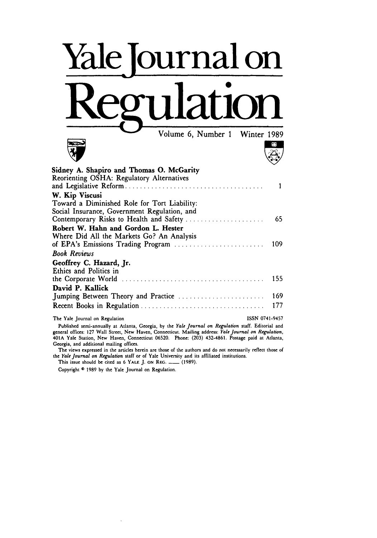## Yale Journal on Regulation

**Volume 6, Number 1** Winter 1989<br> **Volume 6, Number 1** Winter 1989



| Sidney A. Shapiro and Thomas O. McGarity<br>Reorienting OSHA: Regulatory Alternatives | 1   |
|---------------------------------------------------------------------------------------|-----|
| W. Kip Viscusi                                                                        |     |
| Toward a Diminished Role for Tort Liability:                                          |     |
| Social Insurance, Government Regulation, and                                          |     |
|                                                                                       | 65  |
| Robert W. Hahn and Gordon L. Hester<br>Where Did All the Markets Go? An Analysis      |     |
|                                                                                       |     |
| <b>Book Reviews</b>                                                                   |     |
| Geoffrey C. Hazard, Jr.<br>Ethics and Politics in                                     |     |
|                                                                                       | 155 |
| David P. Kallick                                                                      |     |
|                                                                                       | 169 |
|                                                                                       | 177 |
|                                                                                       |     |

The Yale Journal on Regulation **ISSN 0741-9457** 

Published semi-annually at Atlanta, Georgia, by the *Yale Journal* on *Regulation* staff. Editorial and general offices: **127** Wall Street, New Haven, Connecticut. Mailing address: *Yale Journal on Regulation,* 401A Yale Station, New Haven, Connecticut **06520.** Phone: **(203)** 432-4861. Postage paid at Atlanta, Georgia, and additional mailing offices.

The views expressed in the articles herein are those of the authors and do not necessarily reflect those of the *Yale Journal on Regulation* staff or of Yale University and its affiliated institutions.

This issue should be cited as 6 YALE J. ON REG. \_\_\_\_\_ (1989).

Copyright **© 1989 by the** Yale Journal on Regulation.